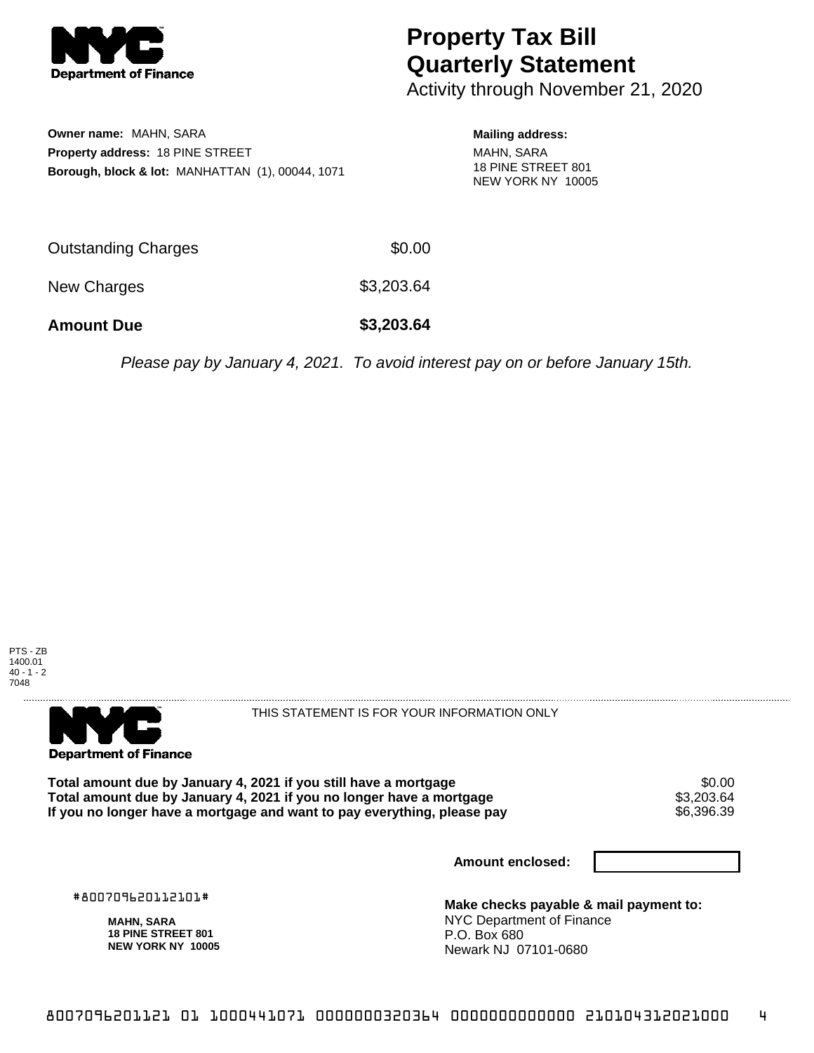

## **Property Tax Bill Quarterly Statement**

Activity through November 21, 2020

**Owner name:** MAHN, SARA **Property address:** 18 PINE STREET **Borough, block & lot:** MANHATTAN (1), 00044, 1071

## **Mailing address:**

MAHN, SARA 18 PINE STREET 801 NEW YORK NY 10005

| <b>Amount Due</b>   | \$3,203.64 |
|---------------------|------------|
| New Charges         | \$3,203.64 |
| Outstanding Charges | \$0.00     |

Please pay by January 4, 2021. To avoid interest pay on or before January 15th.





THIS STATEMENT IS FOR YOUR INFORMATION ONLY

Total amount due by January 4, 2021 if you still have a mortgage  $$0.00$ <br>Total amount due by January 4, 2021 if you no longer have a mortgage  $$3,203.64$ **Total amount due by January 4, 2021 if you no longer have a mortgage**  $$3,203.64$ **<br>If you no longer have a mortgage and want to pay everything, please pay**  $\$6,390.39$ If you no longer have a mortgage and want to pay everything, please pay

**Amount enclosed:**

#800709620112101#

**MAHN, SARA 18 PINE STREET 801 NEW YORK NY 10005**

**Make checks payable & mail payment to:** NYC Department of Finance P.O. Box 680 Newark NJ 07101-0680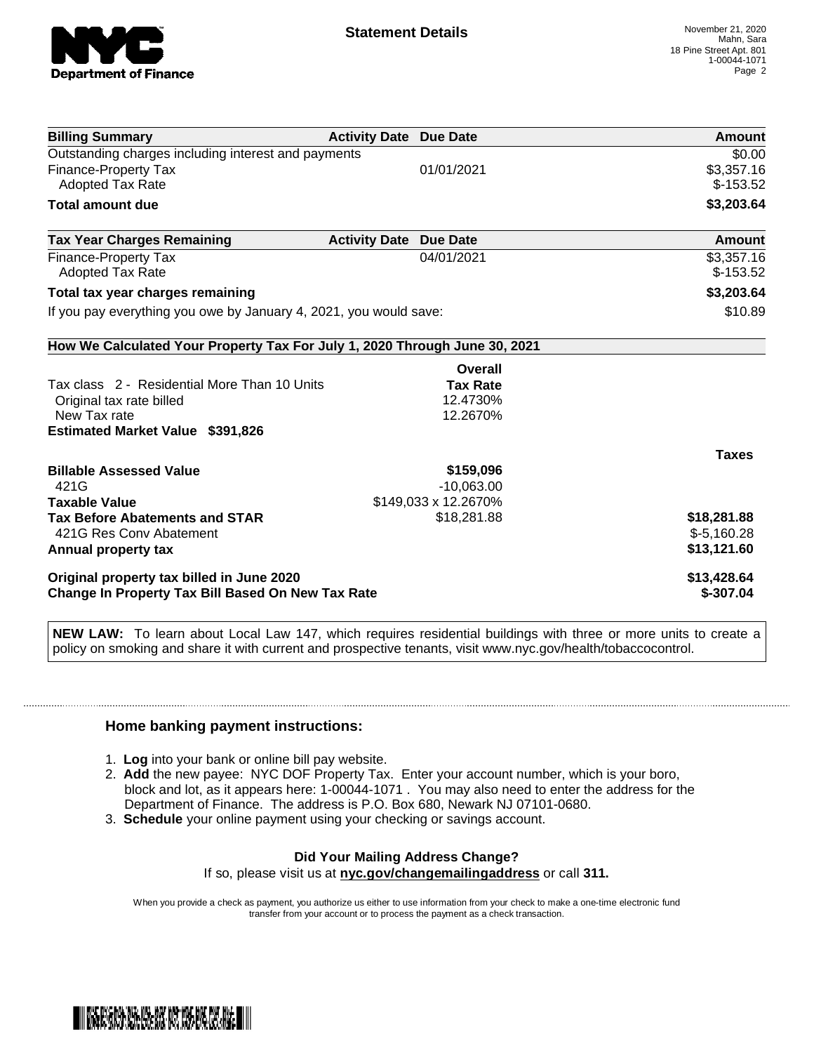

| <b>Billing Summary</b>                                                                         | <b>Activity Date Due Date</b> |                      | Amount                    |
|------------------------------------------------------------------------------------------------|-------------------------------|----------------------|---------------------------|
| Outstanding charges including interest and payments                                            |                               |                      | \$0.00                    |
| <b>Finance-Property Tax</b>                                                                    |                               | 01/01/2021           | \$3,357.16                |
| <b>Adopted Tax Rate</b>                                                                        |                               |                      | $$-153.52$                |
| <b>Total amount due</b>                                                                        |                               |                      | \$3,203.64                |
| <b>Tax Year Charges Remaining</b>                                                              | <b>Activity Date</b>          | <b>Due Date</b>      | Amount                    |
| <b>Finance-Property Tax</b>                                                                    |                               | 04/01/2021           | \$3,357.16                |
| <b>Adopted Tax Rate</b>                                                                        |                               |                      | $$-153.52$                |
| Total tax year charges remaining                                                               |                               |                      | \$3,203.64                |
| If you pay everything you owe by January 4, 2021, you would save:                              |                               |                      | \$10.89                   |
| How We Calculated Your Property Tax For July 1, 2020 Through June 30, 2021                     |                               |                      |                           |
|                                                                                                |                               | Overall              |                           |
| Tax class 2 - Residential More Than 10 Units                                                   |                               | <b>Tax Rate</b>      |                           |
| Original tax rate billed                                                                       |                               | 12.4730%             |                           |
| New Tax rate                                                                                   |                               | 12.2670%             |                           |
| <b>Estimated Market Value \$391,826</b>                                                        |                               |                      |                           |
|                                                                                                |                               |                      | <b>Taxes</b>              |
| <b>Billable Assessed Value</b>                                                                 |                               | \$159,096            |                           |
| 421G                                                                                           |                               | $-10,063.00$         |                           |
| <b>Taxable Value</b>                                                                           |                               | \$149,033 x 12.2670% |                           |
| <b>Tax Before Abatements and STAR</b>                                                          |                               | \$18,281.88          | \$18,281.88               |
| 421G Res Conv Abatement                                                                        |                               |                      | $$-5,160.28$              |
| Annual property tax                                                                            |                               |                      | \$13,121.60               |
| Original property tax billed in June 2020<br>Change In Property Tax Bill Based On New Tax Rate |                               |                      | \$13,428.64<br>$$-307.04$ |

**NEW LAW:** To learn about Local Law 147, which requires residential buildings with three or more units to create a policy on smoking and share it with current and prospective tenants, visit www.nyc.gov/health/tobaccocontrol.

## **Home banking payment instructions:**

- 1. **Log** into your bank or online bill pay website.
- 2. **Add** the new payee: NYC DOF Property Tax. Enter your account number, which is your boro, block and lot, as it appears here: 1-00044-1071 . You may also need to enter the address for the Department of Finance. The address is P.O. Box 680, Newark NJ 07101-0680.
- 3. **Schedule** your online payment using your checking or savings account.

## **Did Your Mailing Address Change?** If so, please visit us at **nyc.gov/changemailingaddress** or call **311.**

When you provide a check as payment, you authorize us either to use information from your check to make a one-time electronic fund

transfer from your account or to process the payment as a check transaction.